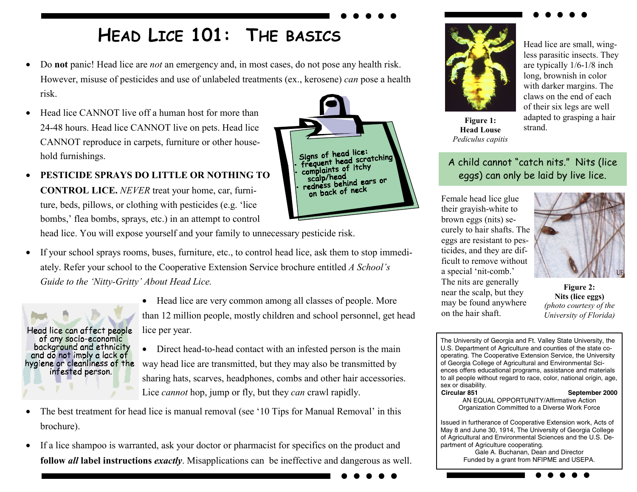## **HEAD LICE 101: THE BASICS**

- $\bullet$  Do **not** panic! Head lice are *not* an emergency and, in most cases, do not pose any health risk. However, misuse of pesticides and use of unlabeled treatments (ex., kerosene) *can* pose a health risk.
- • Head lice CANNOT live off a human host for more than 24-48 hours. Head lice CANNOT live on pets. Head lice CANNOT reproduce in carpets, furniture or other household furnishings.
- • **PESTICIDE SPRAYS DO LITTLE OR NOTHING TO CONTROL LICE.** *NEVER* treat your home, car, furniture, beds, pillows, or clothing with pesticides (e.g. 'lice bombs,' flea bombs, sprays, etc.) in an attempt to control

head lice. You will expose yourself and your family to unnecessary pesticide risk.

- • If your school sprays rooms, buses, furniture, etc., to control head lice, ask them to stop immediately. Refer your school to the Cooperative Extension Service brochure entitled *A School's Guide to the 'Nitty-Gritty' About Head Lice.*
- Head lice can affect people of any socio-economic background and ethnicity and do not imply a lack of hygiene or cleanliness of the infested person.
- Head lice are very common among all classes of people. More than 12 million people, mostly children and school personnel, get head lice per year.

Signs of head lice: Signs of head lice.<br>frequent head scratching<br>frequents of itchy frequent new complaints of itchy scalp/head

scalp/head<br>redness behind ears or on back of neck

- Direct head-to-head contact with an infested person is the main way head lice are transmitted, but they may also be transmitted by sharing hats, scarves, headphones, combs and other hair accessories. Lice *cannot* hop, jump or fly, but they *can* crawl rapidly.
- • The best treatment for head lice is manual removal (see '10 Tips for Manual Removal' in this brochure).
- $\bullet$  If a lice shampoo is warranted, ask your doctor or pharmacist for specifics on the product and **follow** *all* **label instructions** *exactly*. Misapplications can be ineffective and dangerous as well.



Head lice are small, wingless parasitic insects. They are typically 1/6-1/8 inch long, brownish in color with darker margins. The claws on the end of each of their six legs are well adapted to grasping a hair strand.

**Figure 1: Head Louse** *Pediculus capitis* 

## A child cannot "catch nits." Nits (lice eggs) can only be laid by live lice.

Female head lice glue their grayish-white to brown eggs (nits) securely to hair shafts. The eggs are resistant to pesticides, and they are difficult to remove without a special 'nit-comb.' The nits are generally near the scalp, but they may be found anywhere on the hair shaft.



**Figure 2: Nits (lice eggs)**  *(photo courtesy of the University of Florida)* 

The University of Georgia and Ft. Valley State University, the U.S. Department of Agriculture and counties of the state cooperating. The Cooperative Extension Service, the University of Georgia College of Agricultural and Environmental Sciences offers educational programs, assistance and materials to all people without regard to race, color, national origin, age, sex or disability. **Circular 851** September 2000 AN EQUAL OPPORTUNITY/Affirmative Action Organization Committed to a Diverse Work Force

Issued in furtherance of Cooperative Extension work, Acts of May 8 and June 30, 1914, The University of Georgia College of Agricultural and Environmental Sciences and the U.S. Department of Agriculture cooperating.

Gale A. Buchanan, Dean and Director Funded by a grant from NFIPME and USEPA.